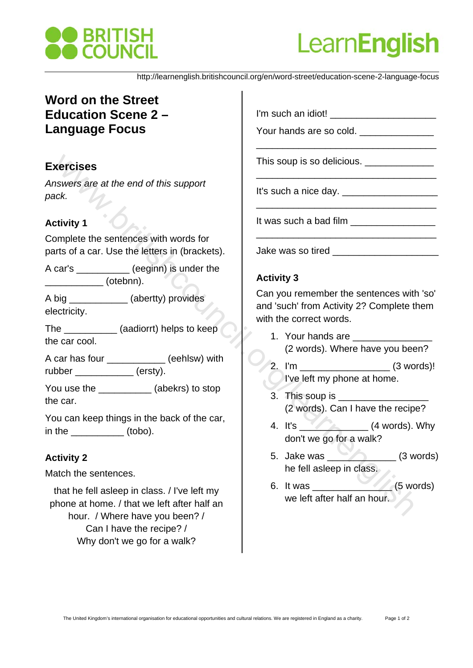



http://learnenglish.britishcouncil.org/en/word-street/education-scene-2-language-focus

# **Word on the Street Education Scene 2 – Language Focus**

# **Exercises**

*Answers are at the end of this support pack.*

# **Activity 1**

Complete the sentences with words for parts of a car. Use the letters in (brackets).

A car's \_\_\_\_\_\_\_\_\_\_ (eeginn) is under the  $(otebnn).$ 

A big \_\_\_\_\_\_\_\_\_\_\_ (abertty) provides electricity.

The **The** (aadiorrt) helps to keep the car cool.

A car has four \_\_\_\_\_\_\_\_\_\_\_ (eehlsw) with rubber (ersty).

You use the  $(abekrs)$  to stop the car.

You can keep things in the back of the car, in the (tobo).

# **Activity 2**

Match the sentences.

that he fell asleep in class. / I've left my phone at home. / that we left after half an hour. / Where have you been? / Can I have the recipe? / Why don't we go for a walk?

I'm such an idiot!

Your hands are so cold.

This soup is so delicious.

It's such a nice day. \_\_\_\_\_\_\_\_\_\_\_\_\_\_\_\_\_\_

It was such a bad film

Jake was so tired

#### **Activity 3**

Can you remember the sentences with 'so' and 'such' from Activity 2? Complete them with the correct words. **xercises**<br>
black.<br>
Extrivity 1<br>
tivity 1<br>
consider the enternces with words for<br>
tirs such a hace day.<br>
Learnenglished in the such a hace day.<br>
Certify 1<br>
(early) provides<br>
can council be the enternces with words for<br>
(e

\_\_\_\_\_\_\_\_\_\_\_\_\_\_\_\_\_\_\_\_\_\_\_\_\_\_\_\_\_\_\_\_\_\_

\_\_\_\_\_\_\_\_\_\_\_\_\_\_\_\_\_\_\_\_\_\_\_\_\_\_\_\_\_\_\_\_\_\_

\_\_\_\_\_\_\_\_\_\_\_\_\_\_\_\_\_\_\_\_\_\_\_\_\_\_\_\_\_\_\_\_\_\_

\_\_\_\_\_\_\_\_\_\_\_\_\_\_\_\_\_\_\_\_\_\_\_\_\_\_\_\_\_\_\_\_\_\_

- 1. Your hands are (2 words). Where have you been?
- 2. I'm \_\_\_\_\_\_\_\_\_\_\_\_\_\_\_\_\_ (3 words)! I've left my phone at home.
- 3. This soup is (2 words). Can I have the recipe?
- 4. It's  $\sqrt{2}$  (4 words). Why don't we go for a walk?
- 5. Jake was (3 words) he fell asleep in class.
- 6. It was  $\frac{1}{\sqrt{1-\frac{1}{1-\frac{1}{1-\frac{1}{1-\frac{1}{1-\frac{1}{1-\frac{1}{1-\frac{1}{1-\frac{1}{1-\frac{1}{1-\frac{1}{1-\frac{1}{1-\frac{1}{1-\frac{1}{1-\frac{1}{1-\frac{1}{1-\frac{1}{1-\frac{1}{1-\frac{1}{1-\frac{1}{1-\frac{1}{1-\frac{1}{1-\frac{1}{1-\frac{1}{1-\frac{1}{1-\frac{1}{1-\frac{1}{1-\frac{1}{1-\frac{1}{1-\frac{1}{1-\frac{1}{1-\frac{1}{1-\frac{1}{1-\frac{1}{1-\frac{$ we left after half an hour.